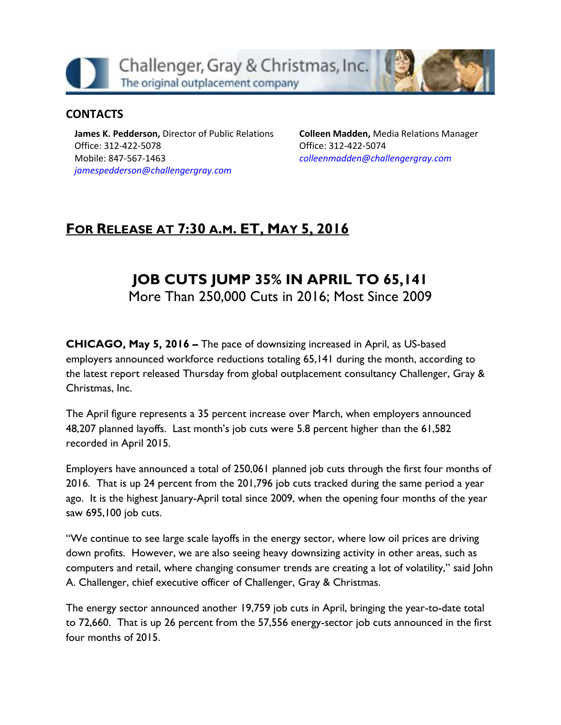Challenger, Gray & Christmas, Inc. The original outplacement company

### **CONTACTS**

**James K. Pedderson,** Director of Public Relations Office: 312-422-5078 Mobile: 847-567-1463 *[jamespedderson@challengergray.com](mailto:jamespedderson@challengergray.com)*

**Colleen Madden,** Media Relations Manager Office: 312-422-5074 *[colleenmadden@challengergray.com](mailto:colleenmadden@challengergray.com)*

# **FOR RELEASE AT 7:30 A.M. ET, MAY 5, 2016**

# **JOB CUTS JUMP 35% IN APRIL TO 65,141**

More Than 250,000 Cuts in 2016; Most Since 2009

**CHICAGO, May 5, 2016 –** The pace of downsizing increased in April, as US-based employers announced workforce reductions totaling 65,141 during the month, according to the latest report released Thursday from global outplacement consultancy Challenger, Gray & Christmas, Inc.

The April figure represents a 35 percent increase over March, when employers announced 48,207 planned layoffs. Last month's job cuts were 5.8 percent higher than the 61,582 recorded in April 2015.

Employers have announced a total of 250,061 planned job cuts through the first four months of 2016. That is up 24 percent from the 201,796 job cuts tracked during the same period a year ago. It is the highest January-April total since 2009, when the opening four months of the year saw 695,100 job cuts.

"We continue to see large scale layoffs in the energy sector, where low oil prices are driving down profits. However, we are also seeing heavy downsizing activity in other areas, such as computers and retail, where changing consumer trends are creating a lot of volatility," said John A. Challenger, chief executive officer of Challenger, Gray & Christmas.

The energy sector announced another 19,759 job cuts in April, bringing the year-to-date total to 72,660. That is up 26 percent from the 57,556 energy-sector job cuts announced in the first four months of 2015.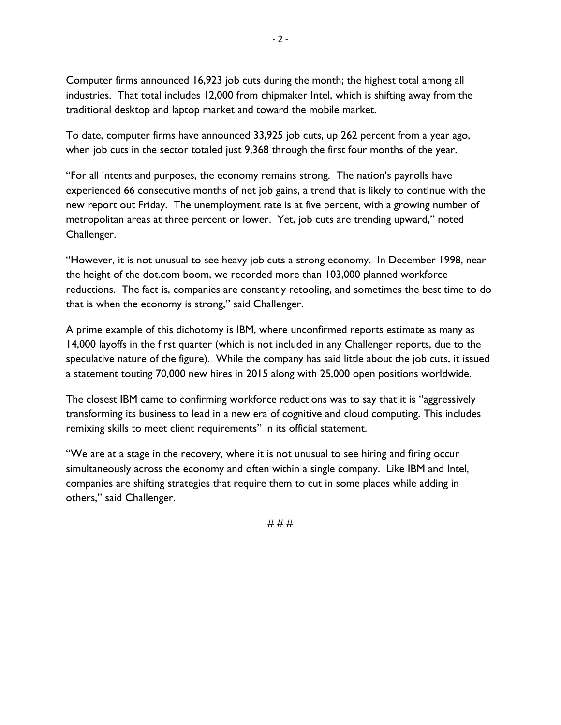Computer firms announced 16,923 job cuts during the month; the highest total among all industries. That total includes 12,000 from chipmaker Intel, which is shifting away from the traditional desktop and laptop market and toward the mobile market.

To date, computer firms have announced 33,925 job cuts, up 262 percent from a year ago, when job cuts in the sector totaled just 9,368 through the first four months of the year.

"For all intents and purposes, the economy remains strong. The nation's payrolls have experienced 66 consecutive months of net job gains, a trend that is likely to continue with the new report out Friday. The unemployment rate is at five percent, with a growing number of metropolitan areas at three percent or lower. Yet, job cuts are trending upward," noted Challenger.

"However, it is not unusual to see heavy job cuts a strong economy. In December 1998, near the height of the dot.com boom, we recorded more than 103,000 planned workforce reductions. The fact is, companies are constantly retooling, and sometimes the best time to do that is when the economy is strong," said Challenger.

A prime example of this dichotomy is IBM, where unconfirmed reports estimate as many as 14,000 layoffs in the first quarter (which is not included in any Challenger reports, due to the speculative nature of the figure). While the company has said little about the job cuts, it issued a statement touting 70,000 new hires in 2015 along with 25,000 open positions worldwide.

The closest IBM came to confirming workforce reductions was to say that it is "aggressively transforming its business to lead in a new era of cognitive and cloud computing. This includes remixing skills to meet client requirements" in its official statement.

"We are at a stage in the recovery, where it is not unusual to see hiring and firing occur simultaneously across the economy and often within a single company. Like IBM and Intel, companies are shifting strategies that require them to cut in some places while adding in others," said Challenger.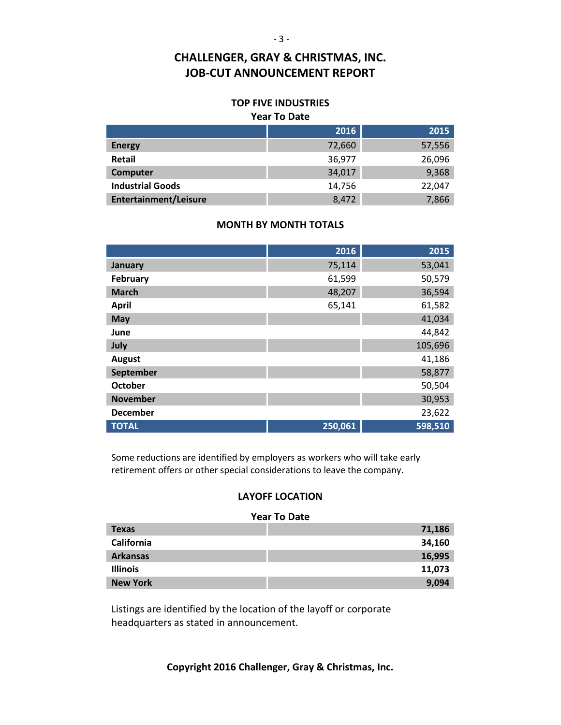#### **TOP FIVE INDUSTRIES Year To Date**

|                              | 2016   | 2015   |  |  |  |
|------------------------------|--------|--------|--|--|--|
| <b>Energy</b>                | 72,660 | 57,556 |  |  |  |
| Retail                       | 36,977 | 26,096 |  |  |  |
| Computer                     | 34,017 | 9,368  |  |  |  |
| <b>Industrial Goods</b>      | 14,756 | 22,047 |  |  |  |
| <b>Entertainment/Leisure</b> | 8,472  | 7,866  |  |  |  |

#### **MONTH BY MONTH TOTALS**

|                 | 2016    | 2015    |
|-----------------|---------|---------|
| January         | 75,114  | 53,041  |
| February        | 61,599  | 50,579  |
| <b>March</b>    | 48,207  | 36,594  |
| <b>April</b>    | 65,141  | 61,582  |
| May             |         | 41,034  |
| June            |         | 44,842  |
| July            |         | 105,696 |
| <b>August</b>   |         | 41,186  |
| September       |         | 58,877  |
| <b>October</b>  |         | 50,504  |
| <b>November</b> |         | 30,953  |
| <b>December</b> |         | 23,622  |
| <b>TOTAL</b>    | 250,061 | 598,510 |

Some reductions are identified by employers as workers who will take early retirement offers or other special considerations to leave the company.

#### **LAYOFF LOCATION**

#### **Year To Date**

| <b>Texas</b>    | 71,186 |
|-----------------|--------|
| California      | 34,160 |
| <b>Arkansas</b> | 16,995 |
| <b>Illinois</b> | 11,073 |
| <b>New York</b> | 9,094  |

Listings are identified by the location of the layoff or corporate headquarters as stated in announcement.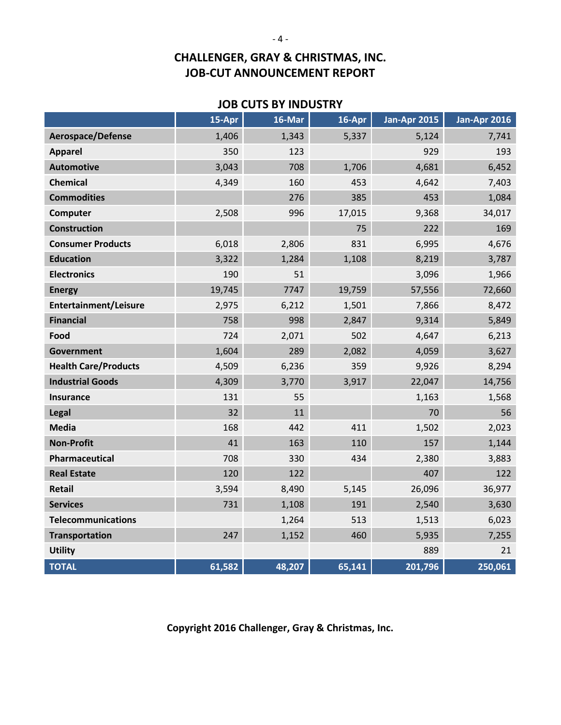### **JOB CUTS BY INDUSTRY**

|                              | 15-Apr | 16-Mar | $16 - Apr$ | <b>Jan-Apr 2015</b> | <b>Jan-Apr 2016</b> |
|------------------------------|--------|--------|------------|---------------------|---------------------|
| Aerospace/Defense            | 1,406  | 1,343  | 5,337      | 5,124               | 7,741               |
| <b>Apparel</b>               | 350    | 123    |            | 929                 | 193                 |
| <b>Automotive</b>            | 3,043  | 708    | 1,706      | 4,681               | 6,452               |
| <b>Chemical</b>              | 4,349  | 160    | 453        | 4,642               | 7,403               |
| <b>Commodities</b>           |        | 276    | 385        | 453                 | 1,084               |
| Computer                     | 2,508  | 996    | 17,015     | 9,368               | 34,017              |
| <b>Construction</b>          |        |        | 75         | 222                 | 169                 |
| <b>Consumer Products</b>     | 6,018  | 2,806  | 831        | 6,995               | 4,676               |
| <b>Education</b>             | 3,322  | 1,284  | 1,108      | 8,219               | 3,787               |
| <b>Electronics</b>           | 190    | 51     |            | 3,096               | 1,966               |
| <b>Energy</b>                | 19,745 | 7747   | 19,759     | 57,556              | 72,660              |
| <b>Entertainment/Leisure</b> | 2,975  | 6,212  | 1,501      | 7,866               | 8,472               |
| <b>Financial</b>             | 758    | 998    | 2,847      | 9,314               | 5,849               |
| Food                         | 724    | 2,071  | 502        | 4,647               | 6,213               |
| <b>Government</b>            | 1,604  | 289    | 2,082      | 4,059               | 3,627               |
| <b>Health Care/Products</b>  | 4,509  | 6,236  | 359        | 9,926               | 8,294               |
| <b>Industrial Goods</b>      | 4,309  | 3,770  | 3,917      | 22,047              | 14,756              |
| <b>Insurance</b>             | 131    | 55     |            | 1,163               | 1,568               |
| Legal                        | 32     | 11     |            | 70                  | 56                  |
| <b>Media</b>                 | 168    | 442    | 411        | 1,502               | 2,023               |
| <b>Non-Profit</b>            | 41     | 163    | 110        | 157                 | 1,144               |
| Pharmaceutical               | 708    | 330    | 434        | 2,380               | 3,883               |
| <b>Real Estate</b>           | 120    | 122    |            | 407                 | 122                 |
| <b>Retail</b>                | 3,594  | 8,490  | 5,145      | 26,096              | 36,977              |
| <b>Services</b>              | 731    | 1,108  | 191        | 2,540               | 3,630               |
| <b>Telecommunications</b>    |        | 1,264  | 513        | 1,513               | 6,023               |
| <b>Transportation</b>        | 247    | 1,152  | 460        | 5,935               | 7,255               |
| <b>Utility</b>               |        |        |            | 889                 | 21                  |
| <b>TOTAL</b>                 | 61,582 | 48,207 | 65,141     | 201,796             | 250,061             |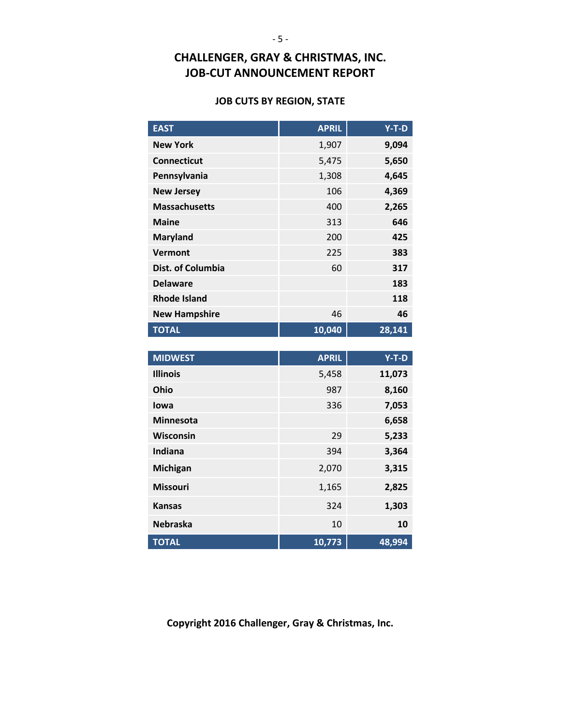#### **JOB CUTS BY REGION, STATE**

| <b>EAST</b>              | <b>APRIL</b> | $Y-T-D$ |
|--------------------------|--------------|---------|
| <b>New York</b>          | 1,907        | 9,094   |
| <b>Connecticut</b>       | 5,475        | 5,650   |
| Pennsylvania             | 1,308        | 4,645   |
| <b>New Jersey</b>        | 106          | 4,369   |
| <b>Massachusetts</b>     | 400          | 2,265   |
| <b>Maine</b>             | 313          | 646     |
| <b>Maryland</b>          | 200          | 425     |
| Vermont                  | 225          | 383     |
| <b>Dist. of Columbia</b> | 60           | 317     |
| <b>Delaware</b>          |              | 183     |
| <b>Rhode Island</b>      |              | 118     |
| <b>New Hampshire</b>     | 46           | 46      |
| <b>TOTAL</b>             | 10,040       | 28,141  |

| <b>MIDWEST</b>   | <b>APRIL</b> | $Y-T-D$ |
|------------------|--------------|---------|
| <b>Illinois</b>  | 5,458        | 11,073  |
| Ohio             | 987          | 8,160   |
| lowa             | 336          | 7,053   |
| <b>Minnesota</b> |              | 6,658   |
| <b>Wisconsin</b> | 29           | 5,233   |
| Indiana          | 394          | 3,364   |
| Michigan         | 2,070        | 3,315   |
| <b>Missouri</b>  | 1,165        | 2,825   |
| <b>Kansas</b>    | 324          | 1,303   |
| <b>Nebraska</b>  | 10           | 10      |
| <b>TOTAL</b>     | 10,773       | 48,994  |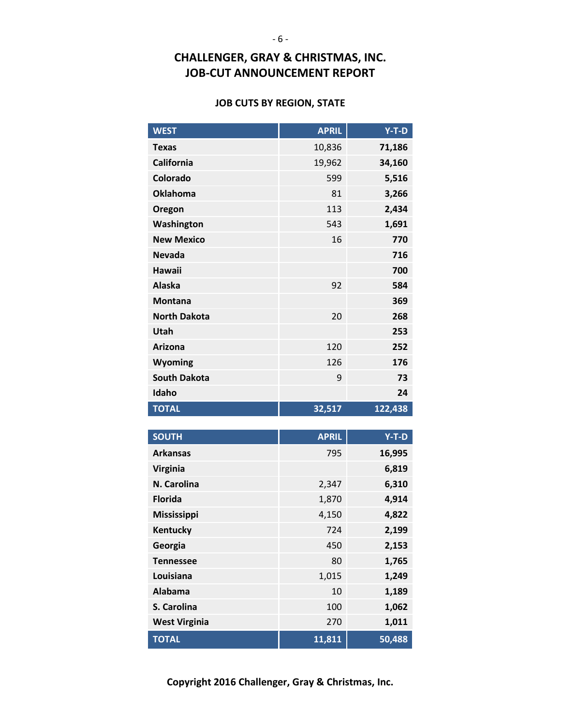#### **JOB CUTS BY REGION, STATE**

| <b>WEST</b>          | <b>APRIL</b> | $Y-T-D$         |
|----------------------|--------------|-----------------|
| <b>Texas</b>         | 10,836       | 71,186          |
| <b>California</b>    | 19,962       | 34,160          |
| Colorado             | 599          | 5,516           |
| <b>Oklahoma</b>      | 81           | 3,266           |
| Oregon               | 113          | 2,434           |
| Washington           | 543          | 1,691           |
| <b>New Mexico</b>    | 16           | 770             |
| <b>Nevada</b>        |              | 716             |
| <b>Hawaii</b>        |              | 700             |
| <b>Alaska</b>        | 92           | 584             |
| <b>Montana</b>       |              | 369             |
| <b>North Dakota</b>  | 20           | 268             |
| Utah                 |              | 253             |
| <b>Arizona</b>       | 120          | 252             |
| Wyoming              | 126          | 176             |
| <b>South Dakota</b>  | 9            | 73              |
| Idaho                |              | 24              |
| <b>TOTAL</b>         | 32,517       | 122,438         |
|                      |              |                 |
|                      |              |                 |
| <b>SOUTH</b>         | <b>APRIL</b> | $Y-T-D$         |
| <b>Arkansas</b>      | 795          | 16,995          |
| <b>Virginia</b>      |              | 6,819           |
| N. Carolina          | 2,347        | 6,310           |
| <b>Florida</b>       | 1,870        | 4,914           |
| <b>Mississippi</b>   | 4,150        | 4,822           |
| <b>Kentucky</b>      | 724          | 2,199           |
| Georgia              | 450          | 2,153           |
| <b>Tennessee</b>     | 80           | 1,765           |
| Louisiana            | 1,015        | 1,249           |
| <b>Alabama</b>       | 10           | 1,189           |
| S. Carolina          | 100          | 1,062           |
| <b>West Virginia</b> | 270          | 1,011<br>50,488 |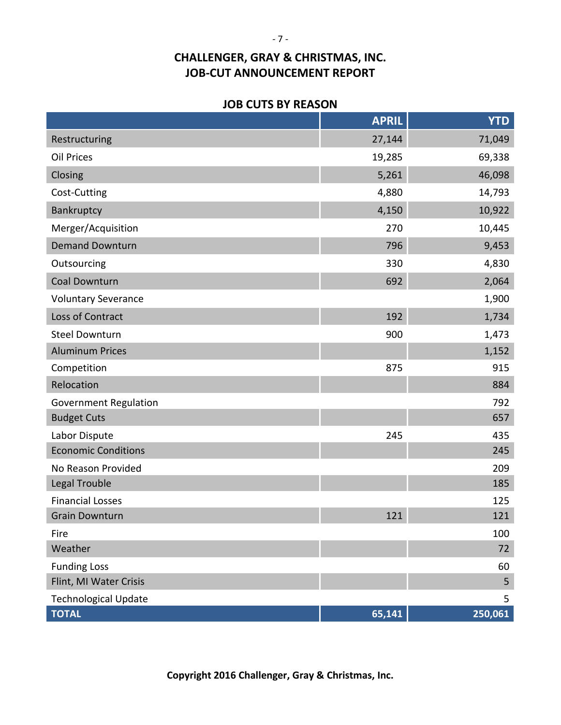#### **JOB CUTS BY REASON**

|                                             | <b>APRIL</b> | <b>YTD</b>   |
|---------------------------------------------|--------------|--------------|
| Restructuring                               | 27,144       | 71,049       |
| Oil Prices                                  | 19,285       | 69,338       |
| Closing                                     | 5,261        | 46,098       |
| Cost-Cutting                                | 4,880        | 14,793       |
| Bankruptcy                                  | 4,150        | 10,922       |
| Merger/Acquisition                          | 270          | 10,445       |
| <b>Demand Downturn</b>                      | 796          | 9,453        |
| Outsourcing                                 | 330          | 4,830        |
| Coal Downturn                               | 692          | 2,064        |
| <b>Voluntary Severance</b>                  |              | 1,900        |
| Loss of Contract                            | 192          | 1,734        |
| <b>Steel Downturn</b>                       | 900          | 1,473        |
| <b>Aluminum Prices</b>                      |              | 1,152        |
| Competition                                 | 875          | 915          |
| Relocation                                  |              | 884          |
| <b>Government Regulation</b>                |              | 792          |
| <b>Budget Cuts</b>                          |              | 657          |
| Labor Dispute                               | 245          | 435          |
| <b>Economic Conditions</b>                  |              | 245          |
| No Reason Provided                          |              | 209          |
| Legal Trouble                               |              | 185          |
| <b>Financial Losses</b>                     |              | 125          |
| <b>Grain Downturn</b>                       | 121          | 121          |
| Fire                                        |              | 100          |
| Weather                                     |              | 72           |
| <b>Funding Loss</b>                         |              | 60           |
| Flint, MI Water Crisis                      |              | 5            |
| <b>Technological Update</b><br><b>TOTAL</b> | 65,141       | 5<br>250,061 |
|                                             |              |              |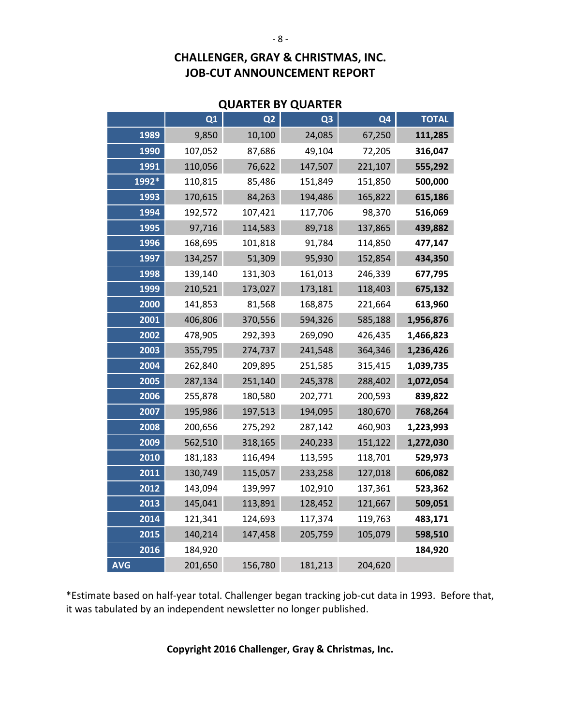|            |         |                | <b>QUARTER BY QUARTER</b> |                |              |
|------------|---------|----------------|---------------------------|----------------|--------------|
|            | Q1      | Q <sub>2</sub> | Q <sub>3</sub>            | Q <sub>4</sub> | <b>TOTAL</b> |
| 1989       | 9,850   | 10,100         | 24,085                    | 67,250         | 111,285      |
| 1990       | 107,052 | 87,686         | 49,104                    | 72,205         | 316,047      |
| 1991       | 110,056 | 76,622         | 147,507                   | 221,107        | 555,292      |
| 1992*      | 110,815 | 85,486         | 151,849                   | 151,850        | 500,000      |
| 1993       | 170,615 | 84,263         | 194,486                   | 165,822        | 615,186      |
| 1994       | 192,572 | 107,421        | 117,706                   | 98,370         | 516,069      |
| 1995       | 97,716  | 114,583        | 89,718                    | 137,865        | 439,882      |
| 1996       | 168,695 | 101,818        | 91,784                    | 114,850        | 477,147      |
| 1997       | 134,257 | 51,309         | 95,930                    | 152,854        | 434,350      |
| 1998       | 139,140 | 131,303        | 161,013                   | 246,339        | 677,795      |
| 1999       | 210,521 | 173,027        | 173,181                   | 118,403        | 675,132      |
| 2000       | 141,853 | 81,568         | 168,875                   | 221,664        | 613,960      |
| 2001       | 406,806 | 370,556        | 594,326                   | 585,188        | 1,956,876    |
| 2002       | 478,905 | 292,393        | 269,090                   | 426,435        | 1,466,823    |
| 2003       | 355,795 | 274,737        | 241,548                   | 364,346        | 1,236,426    |
| 2004       | 262,840 | 209,895        | 251,585                   | 315,415        | 1,039,735    |
| 2005       | 287,134 | 251,140        | 245,378                   | 288,402        | 1,072,054    |
| 2006       | 255,878 | 180,580        | 202,771                   | 200,593        | 839,822      |
| 2007       | 195,986 | 197,513        | 194,095                   | 180,670        | 768,264      |
| 2008       | 200,656 | 275,292        | 287,142                   | 460,903        | 1,223,993    |
| 2009       | 562,510 | 318,165        | 240,233                   | 151,122        | 1,272,030    |
| 2010       | 181,183 | 116,494        | 113,595                   | 118,701        | 529,973      |
| 2011       | 130,749 | 115,057        | 233,258                   | 127,018        | 606,082      |
| 2012       | 143,094 | 139,997        | 102,910                   | 137,361        | 523,362      |
| 2013       | 145,041 | 113,891        | 128,452                   | 121,667        | 509,051      |
| 2014       | 121,341 | 124,693        | 117,374                   | 119,763        | 483,171      |
| 2015       | 140,214 | 147,458        | 205,759                   | 105,079        | 598,510      |
| 2016       | 184,920 |                |                           |                | 184,920      |
| <b>AVG</b> | 201,650 | 156,780        | 181,213                   | 204,620        |              |

# **QUARTER BY QUARTER**

\*Estimate based on half-year total. Challenger began tracking job-cut data in 1993. Before that, it was tabulated by an independent newsletter no longer published.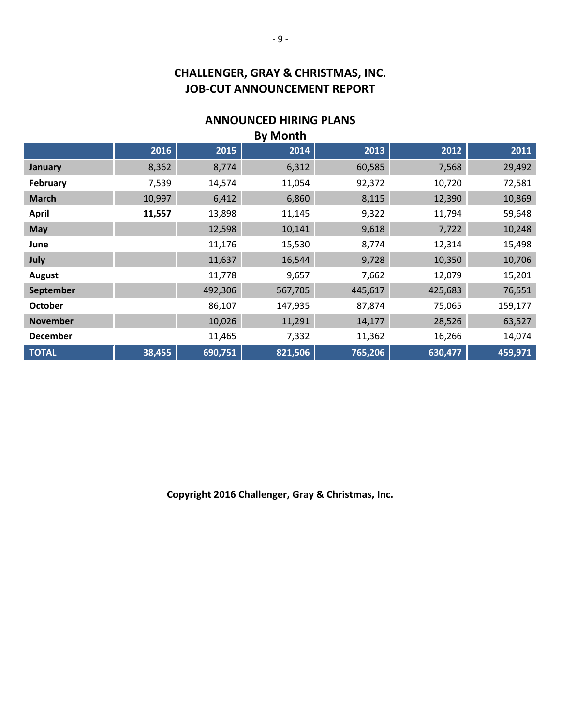### **ANNOUNCED HIRING PLANS**

| <b>By Month</b> |        |         |         |         |         |         |  |
|-----------------|--------|---------|---------|---------|---------|---------|--|
|                 | 2016   | 2015    | 2014    | 2013    | 2012    | 2011    |  |
| January         | 8,362  | 8,774   | 6,312   | 60,585  | 7,568   | 29,492  |  |
| February        | 7,539  | 14,574  | 11,054  | 92,372  | 10,720  | 72,581  |  |
| <b>March</b>    | 10,997 | 6,412   | 6,860   | 8,115   | 12,390  | 10,869  |  |
| <b>April</b>    | 11,557 | 13,898  | 11,145  | 9,322   | 11,794  | 59,648  |  |
| <b>May</b>      |        | 12,598  | 10,141  | 9,618   | 7,722   | 10,248  |  |
| June            |        | 11,176  | 15,530  | 8,774   | 12,314  | 15,498  |  |
| July            |        | 11,637  | 16,544  | 9,728   | 10,350  | 10,706  |  |
| <b>August</b>   |        | 11,778  | 9,657   | 7,662   | 12,079  | 15,201  |  |
| September       |        | 492,306 | 567,705 | 445,617 | 425,683 | 76,551  |  |
| <b>October</b>  |        | 86,107  | 147,935 | 87,874  | 75,065  | 159,177 |  |
| <b>November</b> |        | 10,026  | 11,291  | 14,177  | 28,526  | 63,527  |  |
| <b>December</b> |        | 11,465  | 7,332   | 11,362  | 16,266  | 14,074  |  |
| <b>TOTAL</b>    | 38,455 | 690,751 | 821,506 | 765,206 | 630,477 | 459,971 |  |